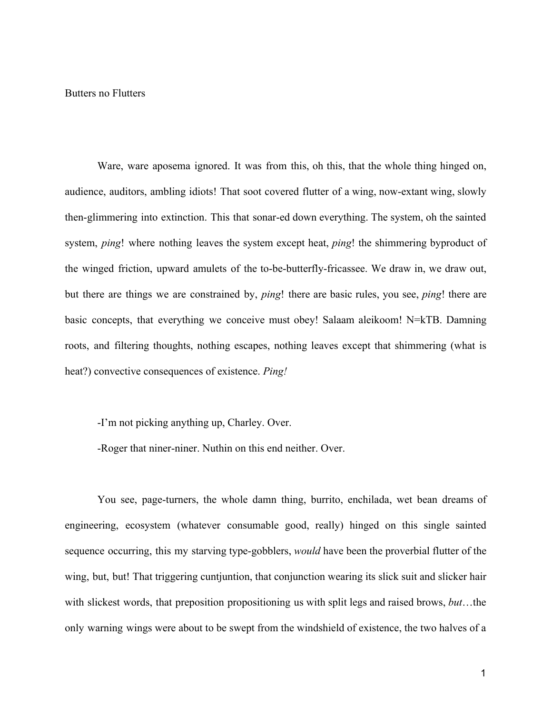Butters no Flutters

Ware, ware aposema ignored. It was from this, oh this, that the whole thing hinged on, audience, auditors, ambling idiots! That soot covered flutter of a wing, now-extant wing, slowly then-glimmering into extinction. This that sonar-ed down everything. The system, oh the sainted system, *ping*! where nothing leaves the system except heat, *ping*! the shimmering byproduct of the winged friction, upward amulets of the to-be-butterfly-fricassee. We draw in, we draw out, but there are things we are constrained by, *ping*! there are basic rules, you see, *ping*! there are basic concepts, that everything we conceive must obey! Salaam aleikoom! N=kTB. Damning roots, and filtering thoughts, nothing escapes, nothing leaves except that shimmering (what is heat?) convective consequences of existence. *Ping!*

-I'm not picking anything up, Charley. Over.

-Roger that niner-niner. Nuthin on this end neither. Over.

You see, page-turners, the whole damn thing, burrito, enchilada, wet bean dreams of engineering, ecosystem (whatever consumable good, really) hinged on this single sainted sequence occurring, this my starving type-gobblers, *would* have been the proverbial flutter of the wing, but, but! That triggering cuntjuntion, that conjunction wearing its slick suit and slicker hair with slickest words, that preposition propositioning us with split legs and raised brows, *but*…the only warning wings were about to be swept from the windshield of existence, the two halves of a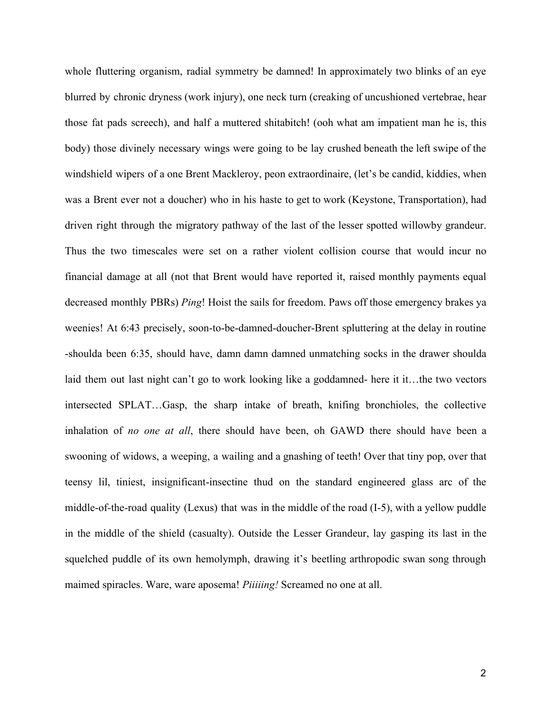whole fluttering organism, radial symmetry be damned! In approximately two blinks of an eye blurred by chronic dryness (work injury), one neck turn (creaking of uncushioned vertebrae, hear those fat pads screech), and half a muttered shitabitch! (ooh what am impatient man he is, this body) those divinely necessary wings were going to be lay crushed beneath the left swipe of the windshield wipers of a one Brent Mackleroy, peon extraordinaire, (let's be candid, kiddies, when was a Brent ever not a doucher) who in his haste to get to work (Keystone, Transportation), had driven right through the migratory pathway of the last of the lesser spotted willowby grandeur. Thus the two timescales were set on a rather violent collision course that would incur no financial damage at all (not that Brent would have reported it, raised monthly payments equal decreased monthly PBRs) *Ping*! Hoist the sails for freedom. Paws off those emergency brakes ya weenies! At 6:43 precisely, soon-to-be-damned-doucher-Brent spluttering at the delay in routine -shoulda been 6:35, should have, damn damn damned unmatching socks in the drawer shoulda laid them out last night can't go to work looking like a goddamned- here it it…the two vectors intersected SPLAT…Gasp, the sharp intake of breath, knifing bronchioles, the collective inhalation of *no one at all*, there should have been, oh GAWD there should have been a swooning of widows, a weeping, a wailing and a gnashing of teeth! Over that tiny pop, over that teensy lil, tiniest, insignificant-insectine thud on the standard engineered glass arc of the middle-of-the-road quality (Lexus) that was in the middle of the road (I-5), with a yellow puddle in the middle of the shield (casualty). Outside the Lesser Grandeur, lay gasping its last in the squelched puddle of its own hemolymph, drawing it's beetling arthropodic swan song through maimed spiracles. Ware, ware aposema! *Piiiiing!* Screamed no one at all.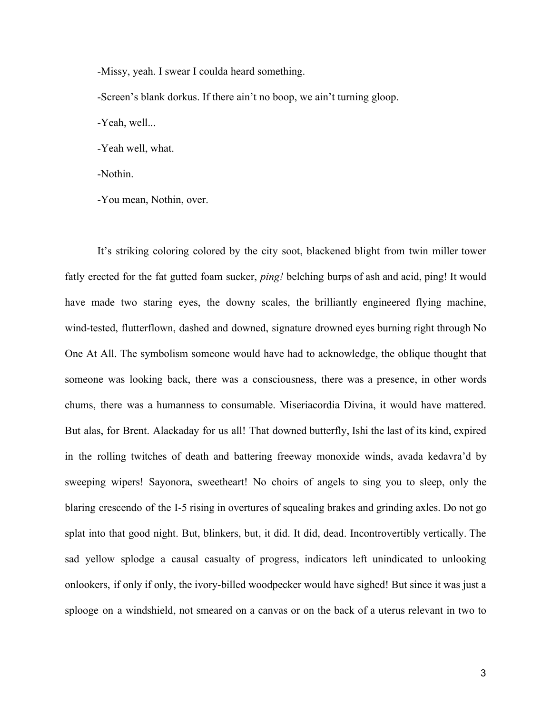-Missy, yeah. I swear I coulda heard something.

-Screen's blank dorkus. If there ain't no boop, we ain't turning gloop.

-Yeah, well...

-Yeah well, what.

-Nothin.

-You mean, Nothin, over.

It's striking coloring colored by the city soot, blackened blight from twin miller tower fatly erected for the fat gutted foam sucker, *ping!* belching burps of ash and acid, ping! It would have made two staring eyes, the downy scales, the brilliantly engineered flying machine, wind-tested, flutterflown, dashed and downed, signature drowned eyes burning right through No One At All. The symbolism someone would have had to acknowledge, the oblique thought that someone was looking back, there was a consciousness, there was a presence, in other words chums, there was a humanness to consumable. Miseriacordia Divina, it would have mattered. But alas, for Brent. Alackaday for us all! That downed butterfly, Ishi the last of its kind, expired in the rolling twitches of death and battering freeway monoxide winds, avada kedavra'd by sweeping wipers! Sayonora, sweetheart! No choirs of angels to sing you to sleep, only the blaring crescendo of the I-5 rising in overtures of squealing brakes and grinding axles. Do not go splat into that good night. But, blinkers, but, it did. It did, dead. Incontrovertibly vertically. The sad yellow splodge a causal casualty of progress, indicators left unindicated to unlooking onlookers, if only if only, the ivory-billed woodpecker would have sighed! But since it was just a splooge on a windshield, not smeared on a canvas or on the back of a uterus relevant in two to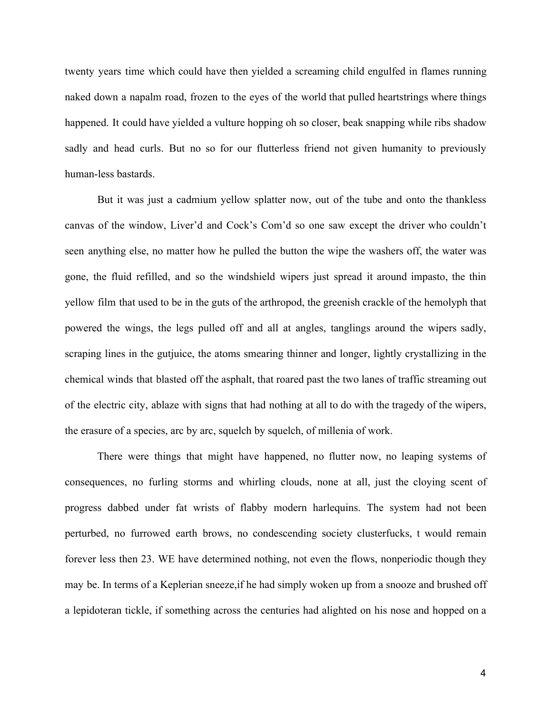twenty years time which could have then yielded a screaming child engulfed in flames running naked down a napalm road, frozen to the eyes of the world that pulled heartstrings where things happened. It could have yielded a vulture hopping oh so closer, beak snapping while ribs shadow sadly and head curls. But no so for our flutterless friend not given humanity to previously human-less bastards.

But it was just a cadmium yellow splatter now, out of the tube and onto the thankless canvas of the window, Liver'd and Cock's Com'd so one saw except the driver who couldn't seen anything else, no matter how he pulled the button the wipe the washers off, the water was gone, the fluid refilled, and so the windshield wipers just spread it around impasto, the thin yellow film that used to be in the guts of the arthropod, the greenish crackle of the hemolyph that powered the wings, the legs pulled off and all at angles, tanglings around the wipers sadly, scraping lines in the gutjuice, the atoms smearing thinner and longer, lightly crystallizing in the chemical winds that blasted off the asphalt, that roared past the two lanes of traffic streaming out of the electric city, ablaze with signs that had nothing at all to do with the tragedy of the wipers, the erasure of a species, arc by arc, squelch by squelch, of millenia of work.

There were things that might have happened, no flutter now, no leaping systems of consequences, no furling storms and whirling clouds, none at all, just the cloying scent of progress dabbed under fat wrists of flabby modern harlequins. The system had not been perturbed, no furrowed earth brows, no condescending society clusterfucks, t would remain forever less then 23. WE have determined nothing, not even the flows, nonperiodic though they may be. In terms of a Keplerian sneeze,if he had simply woken up from a snooze and brushed off a lepidoteran tickle, if something across the centuries had alighted on his nose and hopped on a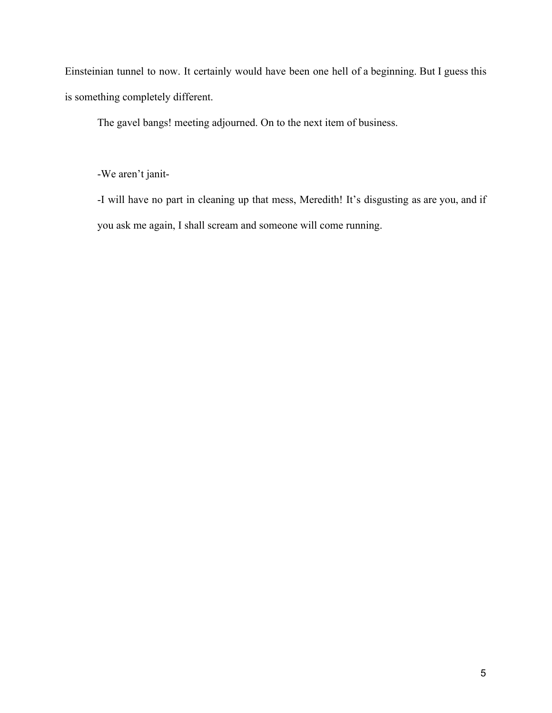Einsteinian tunnel to now. It certainly would have been one hell of a beginning. But I guess this is something completely different.

The gavel bangs! meeting adjourned. On to the next item of business.

-We aren't janit-

-I will have no part in cleaning up that mess, Meredith! It's disgusting as are you, and if you ask me again, I shall scream and someone will come running.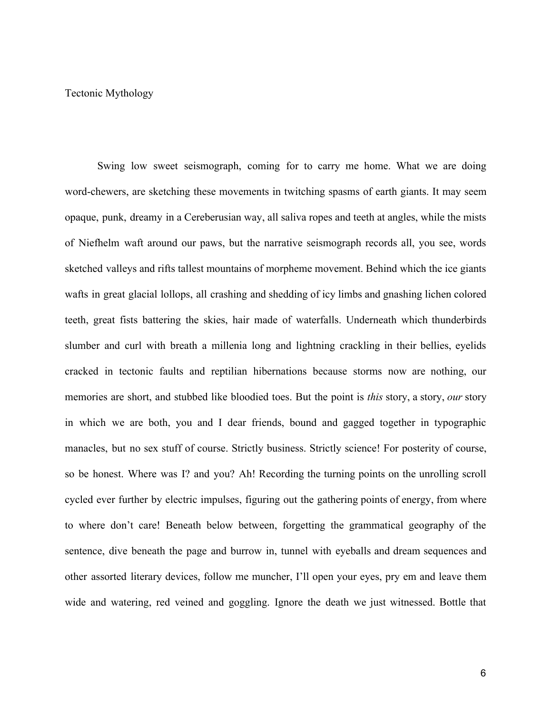## Tectonic Mythology

Swing low sweet seismograph, coming for to carry me home. What we are doing word-chewers, are sketching these movements in twitching spasms of earth giants. It may seem opaque, punk, dreamy in a Cereberusian way, all saliva ropes and teeth at angles, while the mists of Niefhelm waft around our paws, but the narrative seismograph records all, you see, words sketched valleys and rifts tallest mountains of morpheme movement. Behind which the ice giants wafts in great glacial lollops, all crashing and shedding of icy limbs and gnashing lichen colored teeth, great fists battering the skies, hair made of waterfalls. Underneath which thunderbirds slumber and curl with breath a millenia long and lightning crackling in their bellies, eyelids cracked in tectonic faults and reptilian hibernations because storms now are nothing, our memories are short, and stubbed like bloodied toes. But the point is *this* story, a story, *our* story in which we are both, you and I dear friends, bound and gagged together in typographic manacles, but no sex stuff of course. Strictly business. Strictly science! For posterity of course, so be honest. Where was I? and you? Ah! Recording the turning points on the unrolling scroll cycled ever further by electric impulses, figuring out the gathering points of energy, from where to where don't care! Beneath below between, forgetting the grammatical geography of the sentence, dive beneath the page and burrow in, tunnel with eyeballs and dream sequences and other assorted literary devices, follow me muncher, I'll open your eyes, pry em and leave them wide and watering, red veined and goggling. Ignore the death we just witnessed. Bottle that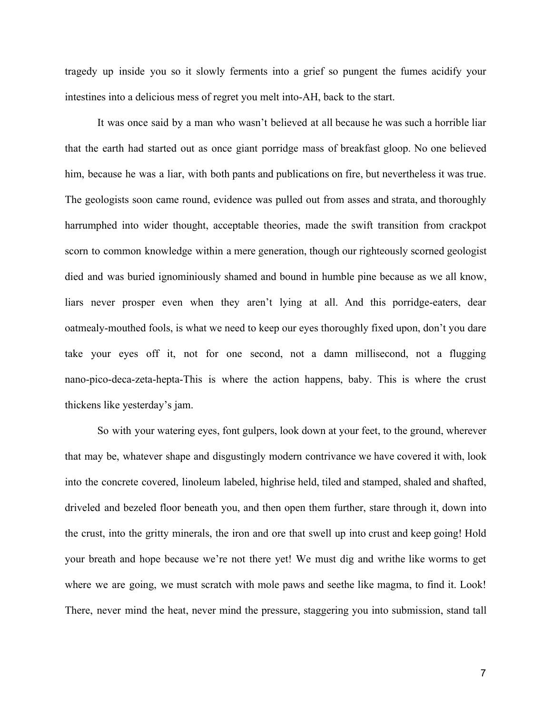tragedy up inside you so it slowly ferments into a grief so pungent the fumes acidify your intestines into a delicious mess of regret you melt into-AH, back to the start.

It was once said by a man who wasn't believed at all because he was such a horrible liar that the earth had started out as once giant porridge mass of breakfast gloop. No one believed him, because he was a liar, with both pants and publications on fire, but nevertheless it was true. The geologists soon came round, evidence was pulled out from asses and strata, and thoroughly harrumphed into wider thought, acceptable theories, made the swift transition from crackpot scorn to common knowledge within a mere generation, though our righteously scorned geologist died and was buried ignominiously shamed and bound in humble pine because as we all know, liars never prosper even when they aren't lying at all. And this porridge-eaters, dear oatmealy-mouthed fools, is what we need to keep our eyes thoroughly fixed upon, don't you dare take your eyes off it, not for one second, not a damn millisecond, not a flugging nano-pico-deca-zeta-hepta-This is where the action happens, baby. This is where the crust thickens like yesterday's jam.

So with your watering eyes, font gulpers, look down at your feet, to the ground, wherever that may be, whatever shape and disgustingly modern contrivance we have covered it with, look into the concrete covered, linoleum labeled, highrise held, tiled and stamped, shaled and shafted, driveled and bezeled floor beneath you, and then open them further, stare through it, down into the crust, into the gritty minerals, the iron and ore that swell up into crust and keep going! Hold your breath and hope because we're not there yet! We must dig and writhe like worms to get where we are going, we must scratch with mole paws and seethe like magma, to find it. Look! There, never mind the heat, never mind the pressure, staggering you into submission, stand tall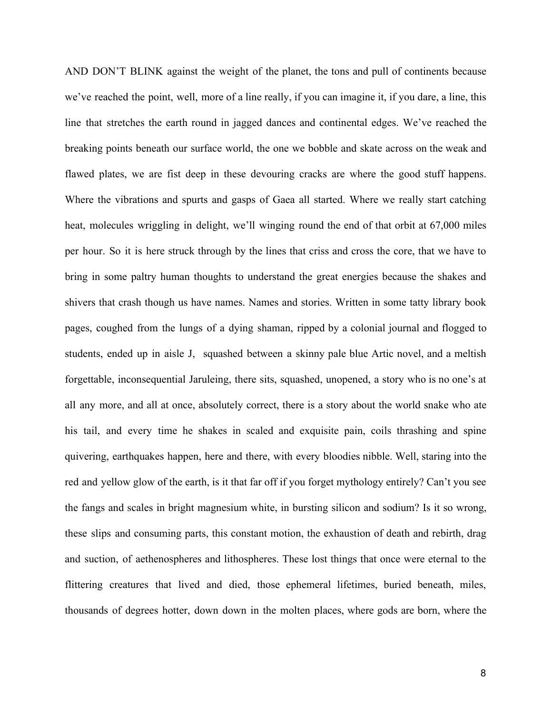AND DON'T BLINK against the weight of the planet, the tons and pull of continents because we've reached the point, well, more of a line really, if you can imagine it, if you dare, a line, this line that stretches the earth round in jagged dances and continental edges. We've reached the breaking points beneath our surface world, the one we bobble and skate across on the weak and flawed plates, we are fist deep in these devouring cracks are where the good stuff happens. Where the vibrations and spurts and gasps of Gaea all started. Where we really start catching heat, molecules wriggling in delight, we'll winging round the end of that orbit at 67,000 miles per hour. So it is here struck through by the lines that criss and cross the core, that we have to bring in some paltry human thoughts to understand the great energies because the shakes and shivers that crash though us have names. Names and stories. Written in some tatty library book pages, coughed from the lungs of a dying shaman, ripped by a colonial journal and flogged to students, ended up in aisle J, squashed between a skinny pale blue Artic novel, and a meltish forgettable, inconsequential Jaruleing, there sits, squashed, unopened, a story who is no one's at all any more, and all at once, absolutely correct, there is a story about the world snake who ate his tail, and every time he shakes in scaled and exquisite pain, coils thrashing and spine quivering, earthquakes happen, here and there, with every bloodies nibble. Well, staring into the red and yellow glow of the earth, is it that far off if you forget mythology entirely? Can't you see the fangs and scales in bright magnesium white, in bursting silicon and sodium? Is it so wrong, these slips and consuming parts, this constant motion, the exhaustion of death and rebirth, drag and suction, of aethenospheres and lithospheres. These lost things that once were eternal to the flittering creatures that lived and died, those ephemeral lifetimes, buried beneath, miles, thousands of degrees hotter, down down in the molten places, where gods are born, where the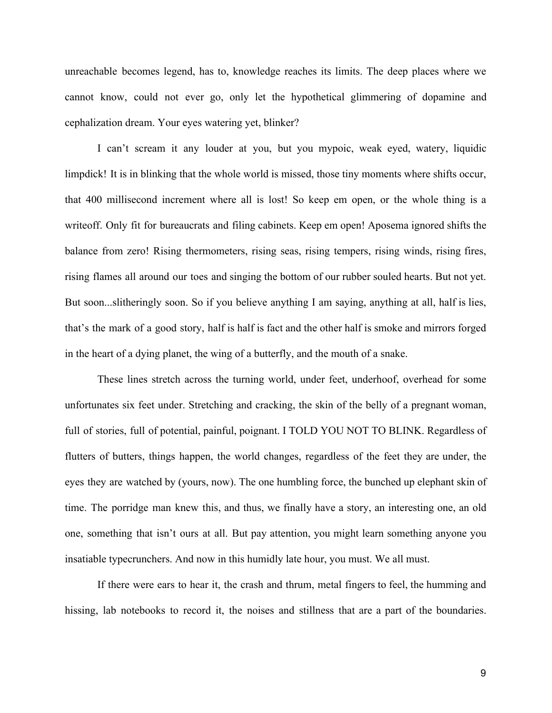unreachable becomes legend, has to, knowledge reaches its limits. The deep places where we cannot know, could not ever go, only let the hypothetical glimmering of dopamine and cephalization dream. Your eyes watering yet, blinker?

I can't scream it any louder at you, but you mypoic, weak eyed, watery, liquidic limpdick! It is in blinking that the whole world is missed, those tiny moments where shifts occur, that 400 millisecond increment where all is lost! So keep em open, or the whole thing is a writeoff. Only fit for bureaucrats and filing cabinets. Keep em open! Aposema ignored shifts the balance from zero! Rising thermometers, rising seas, rising tempers, rising winds, rising fires, rising flames all around our toes and singing the bottom of our rubber souled hearts. But not yet. But soon...slitheringly soon. So if you believe anything I am saying, anything at all, half is lies, that's the mark of a good story, half is half is fact and the other half is smoke and mirrors forged in the heart of a dying planet, the wing of a butterfly, and the mouth of a snake.

These lines stretch across the turning world, under feet, underhoof, overhead for some unfortunates six feet under. Stretching and cracking, the skin of the belly of a pregnant woman, full of stories, full of potential, painful, poignant. I TOLD YOU NOT TO BLINK. Regardless of flutters of butters, things happen, the world changes, regardless of the feet they are under, the eyes they are watched by (yours, now). The one humbling force, the bunched up elephant skin of time. The porridge man knew this, and thus, we finally have a story, an interesting one, an old one, something that isn't ours at all. But pay attention, you might learn something anyone you insatiable typecrunchers. And now in this humidly late hour, you must. We all must.

If there were ears to hear it, the crash and thrum, metal fingers to feel, the humming and hissing, lab notebooks to record it, the noises and stillness that are a part of the boundaries.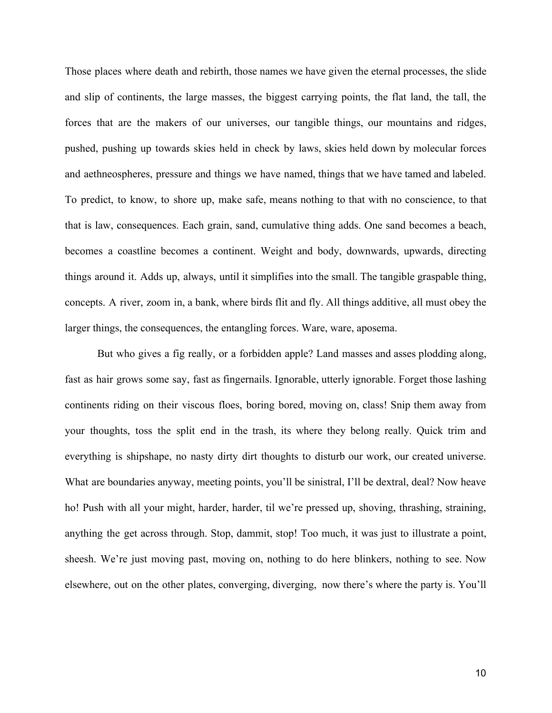Those places where death and rebirth, those names we have given the eternal processes, the slide and slip of continents, the large masses, the biggest carrying points, the flat land, the tall, the forces that are the makers of our universes, our tangible things, our mountains and ridges, pushed, pushing up towards skies held in check by laws, skies held down by molecular forces and aethneospheres, pressure and things we have named, things that we have tamed and labeled. To predict, to know, to shore up, make safe, means nothing to that with no conscience, to that that is law, consequences. Each grain, sand, cumulative thing adds. One sand becomes a beach, becomes a coastline becomes a continent. Weight and body, downwards, upwards, directing things around it. Adds up, always, until it simplifies into the small. The tangible graspable thing, concepts. A river, zoom in, a bank, where birds flit and fly. All things additive, all must obey the larger things, the consequences, the entangling forces. Ware, ware, aposema.

But who gives a fig really, or a forbidden apple? Land masses and asses plodding along, fast as hair grows some say, fast as fingernails. Ignorable, utterly ignorable. Forget those lashing continents riding on their viscous floes, boring bored, moving on, class! Snip them away from your thoughts, toss the split end in the trash, its where they belong really. Quick trim and everything is shipshape, no nasty dirty dirt thoughts to disturb our work, our created universe. What are boundaries anyway, meeting points, you'll be sinistral, I'll be dextral, deal? Now heave ho! Push with all your might, harder, harder, til we're pressed up, shoving, thrashing, straining, anything the get across through. Stop, dammit, stop! Too much, it was just to illustrate a point, sheesh. We're just moving past, moving on, nothing to do here blinkers, nothing to see. Now elsewhere, out on the other plates, converging, diverging, now there's where the party is. You'll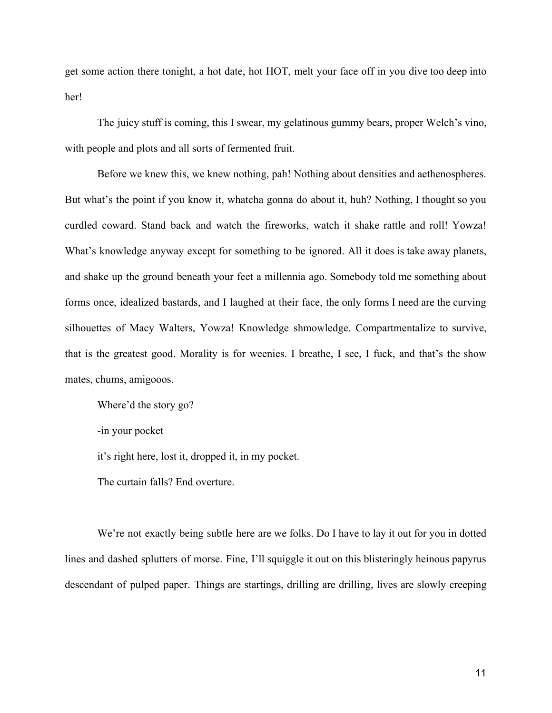get some action there tonight, a hot date, hot HOT, melt your face off in you dive too deep into her!

The juicy stuff is coming, this I swear, my gelatinous gummy bears, proper Welch's vino, with people and plots and all sorts of fermented fruit.

Before we knew this, we knew nothing, pah! Nothing about densities and aethenospheres. But what's the point if you know it, whatcha gonna do about it, huh? Nothing, I thought so you curdled coward. Stand back and watch the fireworks, watch it shake rattle and roll! Yowza! What's knowledge anyway except for something to be ignored. All it does is take away planets, and shake up the ground beneath your feet a millennia ago. Somebody told me something about forms once, idealized bastards, and I laughed at their face, the only forms I need are the curving silhouettes of Macy Walters, Yowza! Knowledge shmowledge. Compartmentalize to survive, that is the greatest good. Morality is for weenies. I breathe, I see, I fuck, and that's the show mates, chums, amigooos.

Where'd the story go?

-in your pocket

it's right here, lost it, dropped it, in my pocket.

The curtain falls? End overture.

We're not exactly being subtle here are we folks. Do I have to lay it out for you in dotted lines and dashed splutters of morse. Fine, I'll squiggle it out on this blisteringly heinous papyrus descendant of pulped paper. Things are startings, drilling are drilling, lives are slowly creeping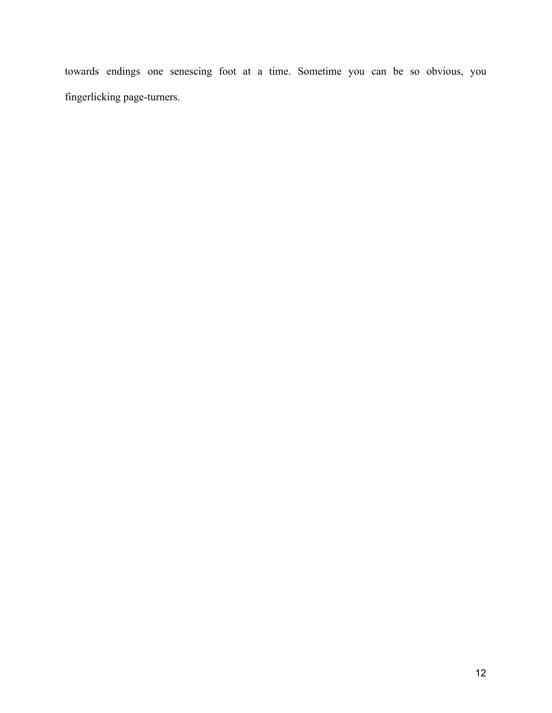towards endings one senescing foot at a time. Sometime you can be so obvious, you fingerlicking page-turners.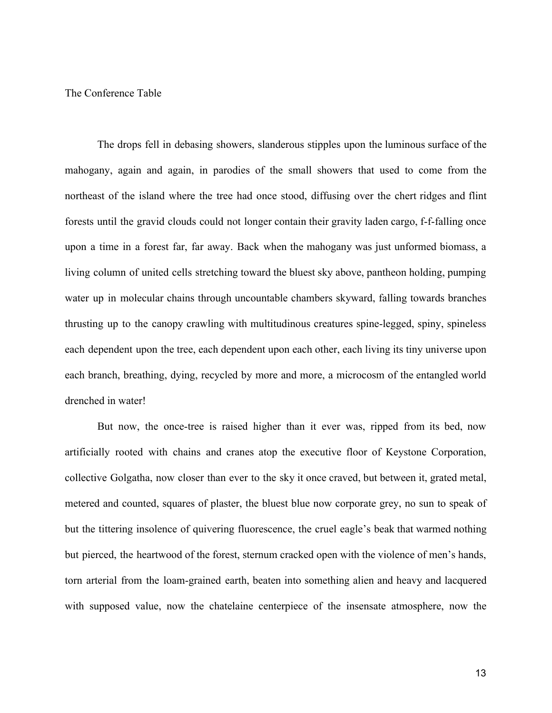The Conference Table

The drops fell in debasing showers, slanderous stipples upon the luminous surface of the mahogany, again and again, in parodies of the small showers that used to come from the northeast of the island where the tree had once stood, diffusing over the chert ridges and flint forests until the gravid clouds could not longer contain their gravity laden cargo, f-f-falling once upon a time in a forest far, far away. Back when the mahogany was just unformed biomass, a living column of united cells stretching toward the bluest sky above, pantheon holding, pumping water up in molecular chains through uncountable chambers skyward, falling towards branches thrusting up to the canopy crawling with multitudinous creatures spine-legged, spiny, spineless each dependent upon the tree, each dependent upon each other, each living its tiny universe upon each branch, breathing, dying, recycled by more and more, a microcosm of the entangled world drenched in water!

But now, the once-tree is raised higher than it ever was, ripped from its bed, now artificially rooted with chains and cranes atop the executive floor of Keystone Corporation, collective Golgatha, now closer than ever to the sky it once craved, but between it, grated metal, metered and counted, squares of plaster, the bluest blue now corporate grey, no sun to speak of but the tittering insolence of quivering fluorescence, the cruel eagle's beak that warmed nothing but pierced, the heartwood of the forest, sternum cracked open with the violence of men's hands, torn arterial from the loam-grained earth, beaten into something alien and heavy and lacquered with supposed value, now the chatelaine centerpiece of the insensate atmosphere, now the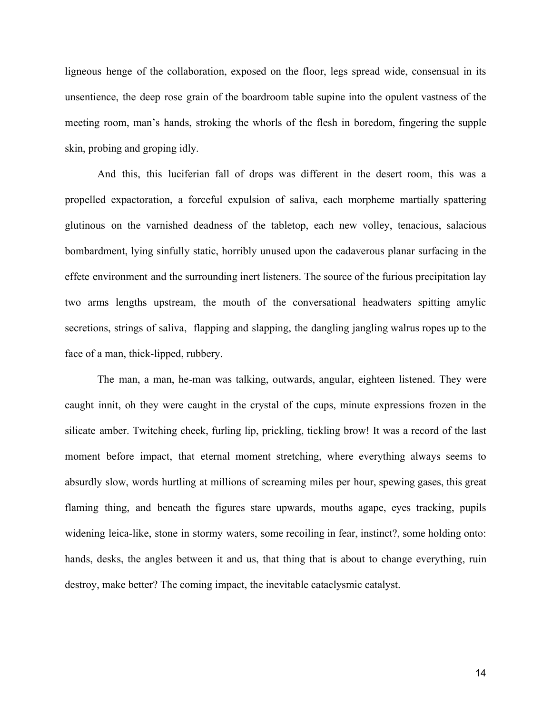ligneous henge of the collaboration, exposed on the floor, legs spread wide, consensual in its unsentience, the deep rose grain of the boardroom table supine into the opulent vastness of the meeting room, man's hands, stroking the whorls of the flesh in boredom, fingering the supple skin, probing and groping idly.

And this, this luciferian fall of drops was different in the desert room, this was a propelled expactoration, a forceful expulsion of saliva, each morpheme martially spattering glutinous on the varnished deadness of the tabletop, each new volley, tenacious, salacious bombardment, lying sinfully static, horribly unused upon the cadaverous planar surfacing in the effete environment and the surrounding inert listeners. The source of the furious precipitation lay two arms lengths upstream, the mouth of the conversational headwaters spitting amylic secretions, strings of saliva, flapping and slapping, the dangling jangling walrus ropes up to the face of a man, thick-lipped, rubbery.

The man, a man, he-man was talking, outwards, angular, eighteen listened. They were caught innit, oh they were caught in the crystal of the cups, minute expressions frozen in the silicate amber. Twitching cheek, furling lip, prickling, tickling brow! It was a record of the last moment before impact, that eternal moment stretching, where everything always seems to absurdly slow, words hurtling at millions of screaming miles per hour, spewing gases, this great flaming thing, and beneath the figures stare upwards, mouths agape, eyes tracking, pupils widening leica-like, stone in stormy waters, some recoiling in fear, instinct?, some holding onto: hands, desks, the angles between it and us, that thing that is about to change everything, ruin destroy, make better? The coming impact, the inevitable cataclysmic catalyst.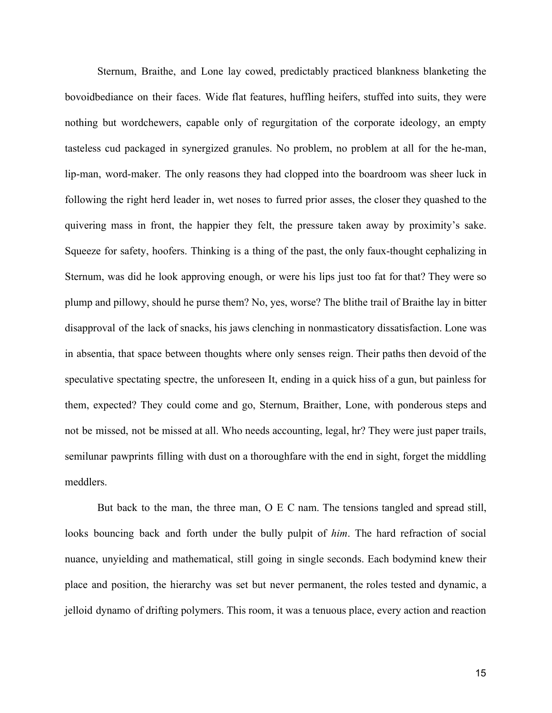Sternum, Braithe, and Lone lay cowed, predictably practiced blankness blanketing the bovoidbediance on their faces. Wide flat features, huffling heifers, stuffed into suits, they were nothing but wordchewers, capable only of regurgitation of the corporate ideology, an empty tasteless cud packaged in synergized granules. No problem, no problem at all for the he-man, lip-man, word-maker. The only reasons they had clopped into the boardroom was sheer luck in following the right herd leader in, wet noses to furred prior asses, the closer they quashed to the quivering mass in front, the happier they felt, the pressure taken away by proximity's sake. Squeeze for safety, hoofers. Thinking is a thing of the past, the only faux-thought cephalizing in Sternum, was did he look approving enough, or were his lips just too fat for that? They were so plump and pillowy, should he purse them? No, yes, worse? The blithe trail of Braithe lay in bitter disapproval of the lack of snacks, his jaws clenching in nonmasticatory dissatisfaction. Lone was in absentia, that space between thoughts where only senses reign. Their paths then devoid of the speculative spectating spectre, the unforeseen It, ending in a quick hiss of a gun, but painless for them, expected? They could come and go, Sternum, Braither, Lone, with ponderous steps and not be missed, not be missed at all. Who needs accounting, legal, hr? They were just paper trails, semilunar pawprints filling with dust on a thoroughfare with the end in sight, forget the middling meddlers.

But back to the man, the three man, O E C nam. The tensions tangled and spread still, looks bouncing back and forth under the bully pulpit of *him*. The hard refraction of social nuance, unyielding and mathematical, still going in single seconds. Each bodymind knew their place and position, the hierarchy was set but never permanent, the roles tested and dynamic, a jelloid dynamo of drifting polymers. This room, it was a tenuous place, every action and reaction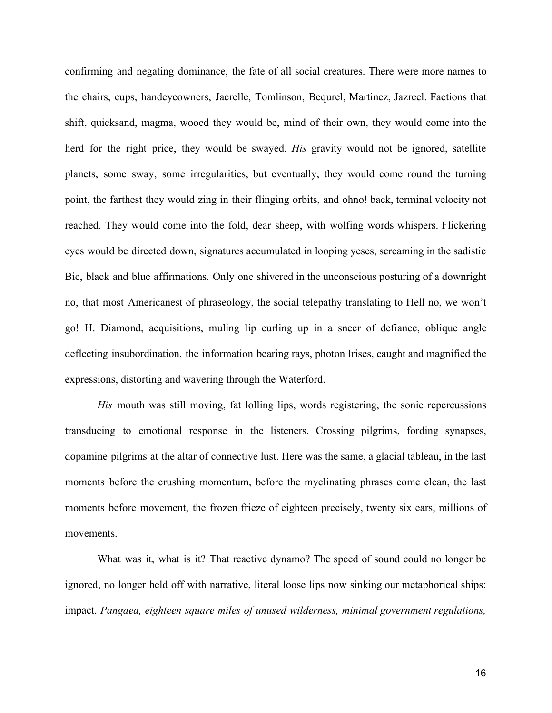confirming and negating dominance, the fate of all social creatures. There were more names to the chairs, cups, handeyeowners, Jacrelle, Tomlinson, Bequrel, Martinez, Jazreel. Factions that shift, quicksand, magma, wooed they would be, mind of their own, they would come into the herd for the right price, they would be swayed. *His* gravity would not be ignored, satellite planets, some sway, some irregularities, but eventually, they would come round the turning point, the farthest they would zing in their flinging orbits, and ohno! back, terminal velocity not reached. They would come into the fold, dear sheep, with wolfing words whispers. Flickering eyes would be directed down, signatures accumulated in looping yeses, screaming in the sadistic Bic, black and blue affirmations. Only one shivered in the unconscious posturing of a downright no, that most Americanest of phraseology, the social telepathy translating to Hell no, we won't go! H. Diamond, acquisitions, muling lip curling up in a sneer of defiance, oblique angle deflecting insubordination, the information bearing rays, photon Irises, caught and magnified the expressions, distorting and wavering through the Waterford.

*His* mouth was still moving, fat lolling lips, words registering, the sonic repercussions transducing to emotional response in the listeners. Crossing pilgrims, fording synapses, dopamine pilgrims at the altar of connective lust. Here was the same, a glacial tableau, in the last moments before the crushing momentum, before the myelinating phrases come clean, the last moments before movement, the frozen frieze of eighteen precisely, twenty six ears, millions of movements.

What was it, what is it? That reactive dynamo? The speed of sound could no longer be ignored, no longer held off with narrative, literal loose lips now sinking our metaphorical ships: impact. *Pangaea, eighteen square miles of unused wilderness, minimal government regulations,*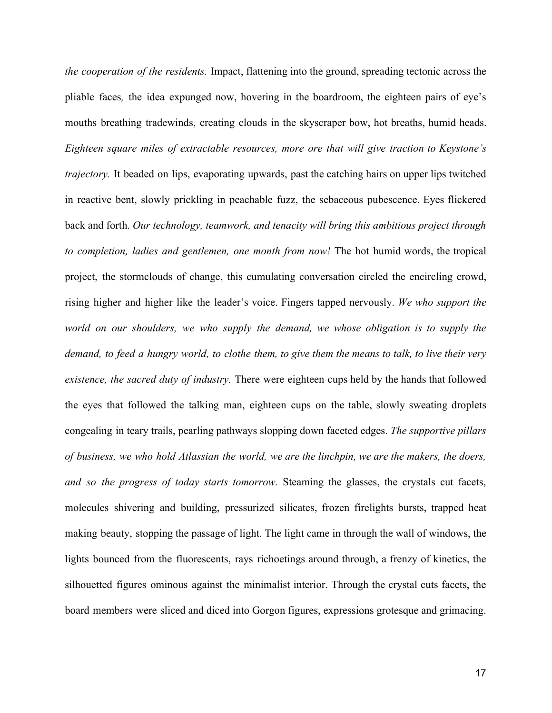*the cooperation of the residents.* Impact, flattening into the ground, spreading tectonic across the pliable faces*,* the idea expunged now, hovering in the boardroom, the eighteen pairs of eye's mouths breathing tradewinds, creating clouds in the skyscraper bow, hot breaths, humid heads. *Eighteen square miles of extractable resources, more ore that will give traction to Keystone's trajectory.* It beaded on lips, evaporating upwards, past the catching hairs on upper lips twitched in reactive bent, slowly prickling in peachable fuzz, the sebaceous pubescence. Eyes flickered back and forth. *Our technology, teamwork, and tenacity will bring this ambitious project through to completion, ladies and gentlemen, one month from now!* The hot humid words, the tropical project, the stormclouds of change, this cumulating conversation circled the encircling crowd, rising higher and higher like the leader's voice. Fingers tapped nervously. *We who support the world on our shoulders, we who supply the demand, we whose obligation is to supply the* demand, to feed a hungry world, to clothe them, to give them the means to talk, to live their very *existence, the sacred duty of industry.* There were eighteen cups held by the hands that followed the eyes that followed the talking man, eighteen cups on the table, slowly sweating droplets congealing in teary trails, pearling pathways slopping down faceted edges. *The supportive pillars of business, we who hold Atlassian the world, we are the linchpin, we are the makers, the doers, and so the progress of today starts tomorrow.* Steaming the glasses, the crystals cut facets, molecules shivering and building, pressurized silicates, frozen firelights bursts, trapped heat making beauty, stopping the passage of light. The light came in through the wall of windows, the lights bounced from the fluorescents, rays richoetings around through, a frenzy of kinetics, the silhouetted figures ominous against the minimalist interior. Through the crystal cuts facets, the board members were sliced and diced into Gorgon figures, expressions grotesque and grimacing.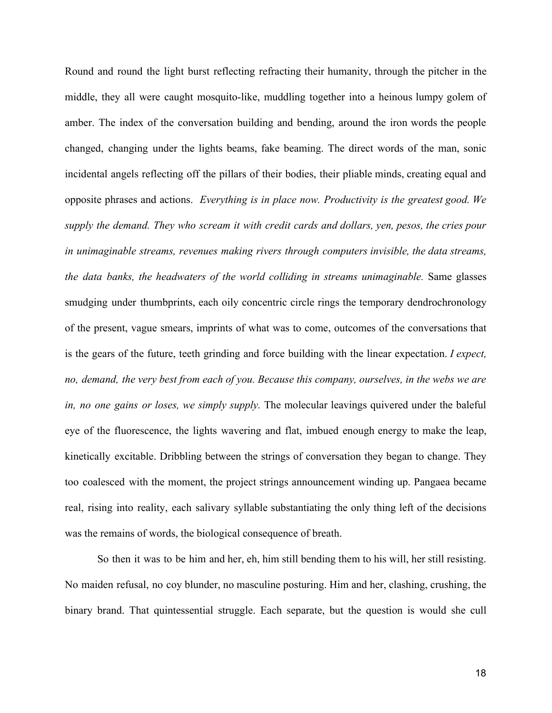Round and round the light burst reflecting refracting their humanity, through the pitcher in the middle, they all were caught mosquito-like, muddling together into a heinous lumpy golem of amber. The index of the conversation building and bending, around the iron words the people changed, changing under the lights beams, fake beaming. The direct words of the man, sonic incidental angels reflecting off the pillars of their bodies, their pliable minds, creating equal and opposite phrases and actions. *Everything is in place now. Productivity is the greatest good. We supply the demand. They who scream it with credit cards and dollars, yen, pesos, the cries pour in unimaginable streams, revenues making rivers through computers invisible, the data streams, the data banks, the headwaters of the world colliding in streams unimaginable.* Same glasses smudging under thumbprints, each oily concentric circle rings the temporary dendrochronology of the present, vague smears, imprints of what was to come, outcomes of the conversations that is the gears of the future, teeth grinding and force building with the linear expectation. *I expect, no, demand, the very best from each of you. Because this company, ourselves, in the webs we are in, no one gains or loses, we simply supply.* The molecular leavings quivered under the baleful eye of the fluorescence, the lights wavering and flat, imbued enough energy to make the leap, kinetically excitable. Dribbling between the strings of conversation they began to change. They too coalesced with the moment, the project strings announcement winding up. Pangaea became real, rising into reality, each salivary syllable substantiating the only thing left of the decisions was the remains of words, the biological consequence of breath.

So then it was to be him and her, eh, him still bending them to his will, her still resisting. No maiden refusal, no coy blunder, no masculine posturing. Him and her, clashing, crushing, the binary brand. That quintessential struggle. Each separate, but the question is would she cull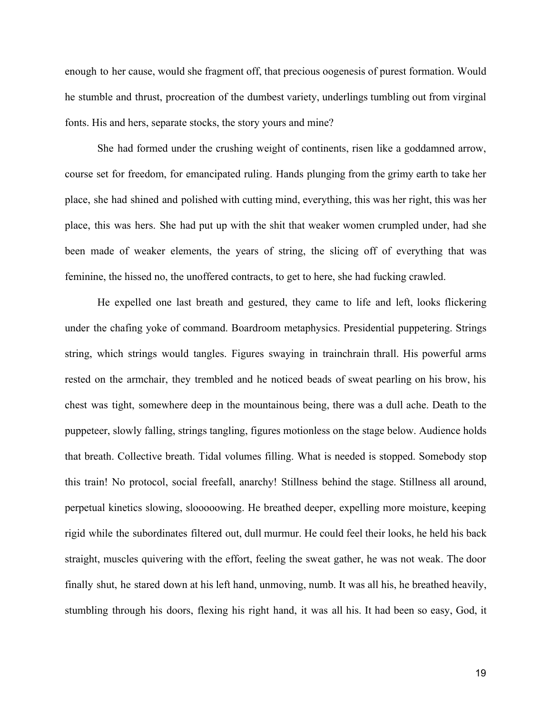enough to her cause, would she fragment off, that precious oogenesis of purest formation. Would he stumble and thrust, procreation of the dumbest variety, underlings tumbling out from virginal fonts. His and hers, separate stocks, the story yours and mine?

She had formed under the crushing weight of continents, risen like a goddamned arrow, course set for freedom, for emancipated ruling. Hands plunging from the grimy earth to take her place, she had shined and polished with cutting mind, everything, this was her right, this was her place, this was hers. She had put up with the shit that weaker women crumpled under, had she been made of weaker elements, the years of string, the slicing off of everything that was feminine, the hissed no, the unoffered contracts, to get to here, she had fucking crawled.

He expelled one last breath and gestured, they came to life and left, looks flickering under the chafing yoke of command. Boardroom metaphysics. Presidential puppetering. Strings string, which strings would tangles. Figures swaying in trainchrain thrall. His powerful arms rested on the armchair, they trembled and he noticed beads of sweat pearling on his brow, his chest was tight, somewhere deep in the mountainous being, there was a dull ache. Death to the puppeteer, slowly falling, strings tangling, figures motionless on the stage below. Audience holds that breath. Collective breath. Tidal volumes filling. What is needed is stopped. Somebody stop this train! No protocol, social freefall, anarchy! Stillness behind the stage. Stillness all around, perpetual kinetics slowing, slooooowing. He breathed deeper, expelling more moisture, keeping rigid while the subordinates filtered out, dull murmur. He could feel their looks, he held his back straight, muscles quivering with the effort, feeling the sweat gather, he was not weak. The door finally shut, he stared down at his left hand, unmoving, numb. It was all his, he breathed heavily, stumbling through his doors, flexing his right hand, it was all his. It had been so easy, God, it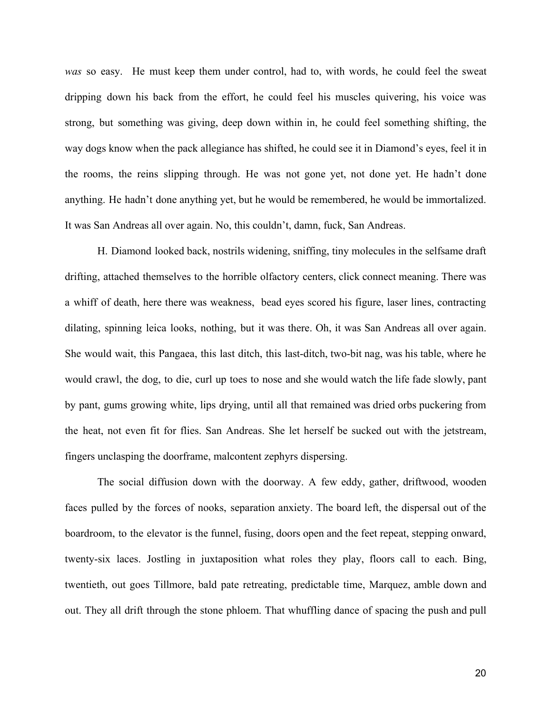*was* so easy. He must keep them under control, had to, with words, he could feel the sweat dripping down his back from the effort, he could feel his muscles quivering, his voice was strong, but something was giving, deep down within in, he could feel something shifting, the way dogs know when the pack allegiance has shifted, he could see it in Diamond's eyes, feel it in the rooms, the reins slipping through. He was not gone yet, not done yet. He hadn't done anything. He hadn't done anything yet, but he would be remembered, he would be immortalized. It was San Andreas all over again. No, this couldn't, damn, fuck, San Andreas.

H. Diamond looked back, nostrils widening, sniffing, tiny molecules in the selfsame draft drifting, attached themselves to the horrible olfactory centers, click connect meaning. There was a whiff of death, here there was weakness, bead eyes scored his figure, laser lines, contracting dilating, spinning leica looks, nothing, but it was there. Oh, it was San Andreas all over again. She would wait, this Pangaea, this last ditch, this last-ditch, two-bit nag, was his table, where he would crawl, the dog, to die, curl up toes to nose and she would watch the life fade slowly, pant by pant, gums growing white, lips drying, until all that remained was dried orbs puckering from the heat, not even fit for flies. San Andreas. She let herself be sucked out with the jetstream, fingers unclasping the doorframe, malcontent zephyrs dispersing.

The social diffusion down with the doorway. A few eddy, gather, driftwood, wooden faces pulled by the forces of nooks, separation anxiety. The board left, the dispersal out of the boardroom, to the elevator is the funnel, fusing, doors open and the feet repeat, stepping onward, twenty-six laces. Jostling in juxtaposition what roles they play, floors call to each. Bing, twentieth, out goes Tillmore, bald pate retreating, predictable time, Marquez, amble down and out. They all drift through the stone phloem. That whuffling dance of spacing the push and pull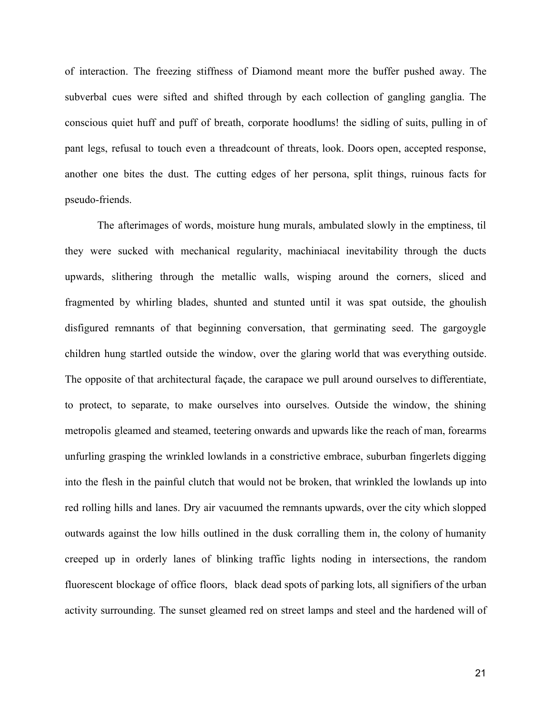of interaction. The freezing stiffness of Diamond meant more the buffer pushed away. The subverbal cues were sifted and shifted through by each collection of gangling ganglia. The conscious quiet huff and puff of breath, corporate hoodlums! the sidling of suits, pulling in of pant legs, refusal to touch even a threadcount of threats, look. Doors open, accepted response, another one bites the dust. The cutting edges of her persona, split things, ruinous facts for pseudo-friends.

The afterimages of words, moisture hung murals, ambulated slowly in the emptiness, til they were sucked with mechanical regularity, machiniacal inevitability through the ducts upwards, slithering through the metallic walls, wisping around the corners, sliced and fragmented by whirling blades, shunted and stunted until it was spat outside, the ghoulish disfigured remnants of that beginning conversation, that germinating seed. The gargoygle children hung startled outside the window, over the glaring world that was everything outside. The opposite of that architectural façade, the carapace we pull around ourselves to differentiate, to protect, to separate, to make ourselves into ourselves. Outside the window, the shining metropolis gleamed and steamed, teetering onwards and upwards like the reach of man, forearms unfurling grasping the wrinkled lowlands in a constrictive embrace, suburban fingerlets digging into the flesh in the painful clutch that would not be broken, that wrinkled the lowlands up into red rolling hills and lanes. Dry air vacuumed the remnants upwards, over the city which slopped outwards against the low hills outlined in the dusk corralling them in, the colony of humanity creeped up in orderly lanes of blinking traffic lights noding in intersections, the random fluorescent blockage of office floors, black dead spots of parking lots, all signifiers of the urban activity surrounding. The sunset gleamed red on street lamps and steel and the hardened will of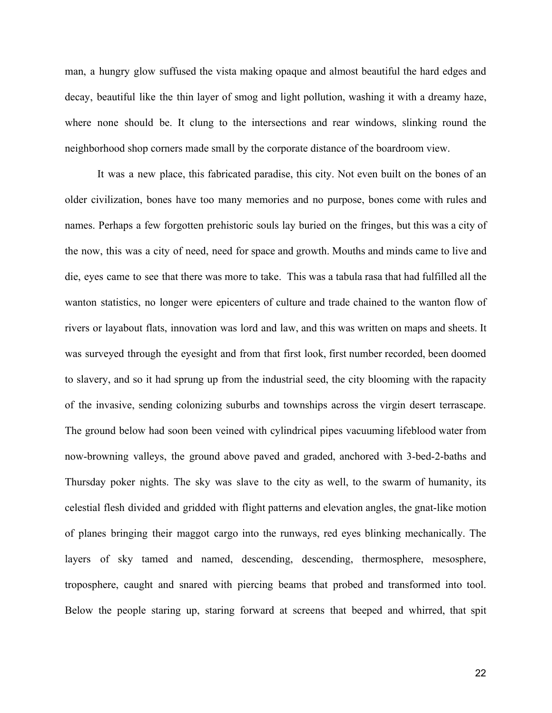man, a hungry glow suffused the vista making opaque and almost beautiful the hard edges and decay, beautiful like the thin layer of smog and light pollution, washing it with a dreamy haze, where none should be. It clung to the intersections and rear windows, slinking round the neighborhood shop corners made small by the corporate distance of the boardroom view.

It was a new place, this fabricated paradise, this city. Not even built on the bones of an older civilization, bones have too many memories and no purpose, bones come with rules and names. Perhaps a few forgotten prehistoric souls lay buried on the fringes, but this was a city of the now, this was a city of need, need for space and growth. Mouths and minds came to live and die, eyes came to see that there was more to take. This was a tabula rasa that had fulfilled all the wanton statistics, no longer were epicenters of culture and trade chained to the wanton flow of rivers or layabout flats, innovation was lord and law, and this was written on maps and sheets. It was surveyed through the eyesight and from that first look, first number recorded, been doomed to slavery, and so it had sprung up from the industrial seed, the city blooming with the rapacity of the invasive, sending colonizing suburbs and townships across the virgin desert terrascape. The ground below had soon been veined with cylindrical pipes vacuuming lifeblood water from now-browning valleys, the ground above paved and graded, anchored with 3-bed-2-baths and Thursday poker nights. The sky was slave to the city as well, to the swarm of humanity, its celestial flesh divided and gridded with flight patterns and elevation angles, the gnat-like motion of planes bringing their maggot cargo into the runways, red eyes blinking mechanically. The layers of sky tamed and named, descending, descending, thermosphere, mesosphere, troposphere, caught and snared with piercing beams that probed and transformed into tool. Below the people staring up, staring forward at screens that beeped and whirred, that spit